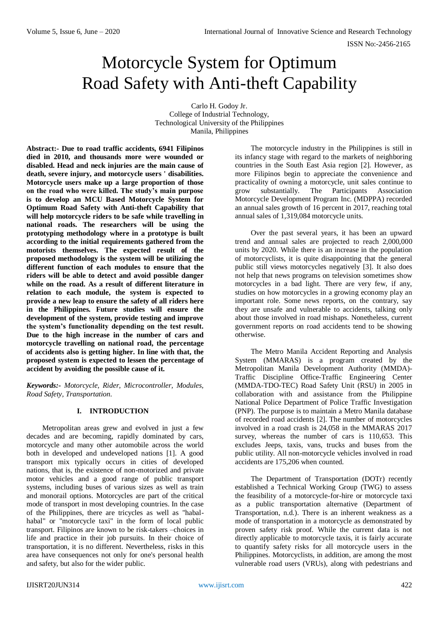# Motorcycle System for Optimum Road Safety with Anti-theft Capability

Carlo H. Godoy Jr. College of Industrial Technology, Technological University of the Philippines Manila, Philippines

**Abstract:- Due to road traffic accidents, 6941 Filipinos died in 2010, and thousands more were wounded or disabled. Head and neck injuries are the main cause of death, severe injury, and motorcycle users ' disabilities. Motorcycle users make up a large proportion of those on the road who were killed. The study's main purpose is to develop an MCU Based Motorcycle System for Optimum Road Safety with Anti-theft Capability that will help motorcycle riders to be safe while travelling in national roads. The researchers will be using the prototyping methodology where in a prototype is built according to the initial requirements gathered from the motorists themselves. The expected result of the proposed methodology is the system will be utilizing the different function of each modules to ensure that the riders will be able to detect and avoid possible danger while on the road. As a result of different literature in relation to each module, the system is expected to provide a new leap to ensure the safety of all riders here in the Philippines. Future studies will ensure the development of the system, provide testing and improve the system's functionality depending on the test result. Due to the high increase in the number of cars and motorcycle travelling on national road, the percentage of accidents also is getting higher. In line with that, the proposed system is expected to lessen the percentage of accident by avoiding the possible cause of it.**

*Keywords:- Motorcycle, Rider, Microcontroller, Modules, Road Safety, Transportation.*

# **I. INTRODUCTION**

Metropolitan areas grew and evolved in just a few decades and are becoming, rapidly dominated by cars, motorcycle and many other automobile across the world both in developed and undeveloped nations [1]. A good transport mix typically occurs in cities of developed nations, that is, the existence of non-motorized and private motor vehicles and a good range of public transport systems, including buses of various sizes as well as train and monorail options. Motorcycles are part of the critical mode of transport in most developing countries. In the case of the Philippines, there are tricycles as well as "habalhabal" or "motorcycle taxi" in the form of local public transport. Filipinos are known to be risk-takers –choices in life and practice in their job pursuits. In their choice of transportation, it is no different. Nevertheless, risks in this area have consequences not only for one's personal health and safety, but also for the wider public.

The motorcycle industry in the Philippines is still in its infancy stage with regard to the markets of neighboring countries in the South East Asia region [2]. However, as more Filipinos begin to appreciate the convenience and practicality of owning a motorcycle, unit sales continue to grow substantially. The Participants Association Motorcycle Development Program Inc. (MDPPA) recorded an annual sales growth of 16 percent in 2017, reaching total annual sales of 1,319,084 motorcycle units.

Over the past several years, it has been an upward trend and annual sales are projected to reach 2,000,000 units by 2020. While there is an increase in the population of motorcyclists, it is quite disappointing that the general public still views motorcycles negatively [3]. It also does not help that news programs on television sometimes show motorcycles in a bad light. There are very few, if any, studies on how motorcycles in a growing economy play an important role. Some news reports, on the contrary, say they are unsafe and vulnerable to accidents, talking only about those involved in road mishaps. Nonetheless, current government reports on road accidents tend to be showing otherwise.

The Metro Manila Accident Reporting and Analysis System (MMARAS) is a program created by the Metropolitan Manila Development Authority (MMDA)- Traffic Discipline Office-Traffic Engineering Center (MMDA-TDO-TEC) Road Safety Unit (RSU) in 2005 in collaboration with and assistance from the Philippine National Police Department of Police Traffic Investigation (PNP). The purpose is to maintain a Metro Manila database of recorded road accidents [2]. The number of motorcycles involved in a road crash is 24,058 in the MMARAS 2017 survey, whereas the number of cars is 110,653. This excludes Jeeps, taxis, vans, trucks and buses from the public utility. All non-motorcycle vehicles involved in road accidents are 175,206 when counted.

The Department of Transportation (DOTr) recently established a Technical Working Group (TWG) to assess the feasibility of a motorcycle-for-hire or motorcycle taxi as a public transportation alternative (Department of Transportation, n.d.). There is an inherent weakness as a mode of transportation in a motorcycle as demonstrated by proven safety risk proof. While the current data is not directly applicable to motorcycle taxis, it is fairly accurate to quantify safety risks for all motorcycle users in the Philippines. Motorcyclists, in addition, are among the most vulnerable road users (VRUs), along with pedestrians and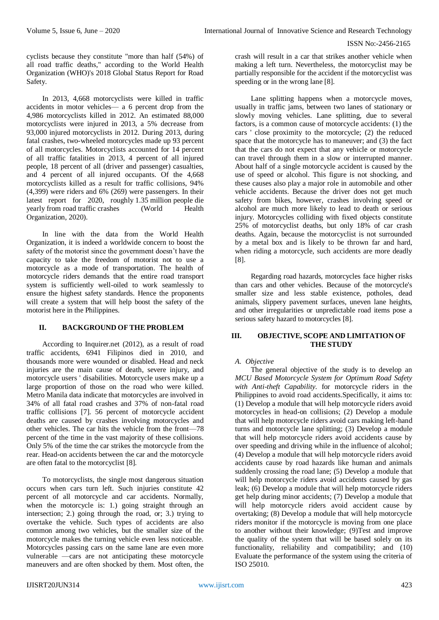cyclists because they constitute "more than half (54%) of all road traffic deaths," according to the World Health Organization (WHO)'s 2018 Global Status Report for Road Safety.

In 2013, 4,668 motorcyclists were killed in traffic accidents in motor vehicles— a 6 percent drop from the 4,986 motorcyclists killed in 2012. An estimated 88,000 motorcyclists were injured in 2013, a 5% decrease from 93,000 injured motorcyclists in 2012. During 2013, during fatal crashes, two-wheeled motorcycles made up 93 percent of all motorcycles. Motorcyclists accounted for 14 percent of all traffic fatalities in 2013, 4 percent of all injured people, 18 percent of all (driver and passenger) casualties, and 4 percent of all injured occupants. Of the 4,668 motorcyclists killed as a result for traffic collisions, 94% (4,399) were riders and 6% (269) were passengers. In their latest report for 2020, roughly 1.35 million people die yearly from road traffic crashes (World Health Organization, 2020).

In line with the data from the World Health Organization, it is indeed a worldwide concern to boost the safety of the motorist since the government doesn't have the capacity to take the freedom of motorist not to use a motorcycle as a mode of transportation. The health of motorcycle riders demands that the entire road transport system is sufficiently well-oiled to work seamlessly to ensure the highest safety standards. Hence the proponents will create a system that will help boost the safety of the motorist here in the Philippines.

# **II. BACKGROUND OF THE PROBLEM**

According to Inquirer.net (2012), as a result of road traffic accidents, 6941 Filipinos died in 2010, and thousands more were wounded or disabled. Head and neck injuries are the main cause of death, severe injury, and motorcycle users ' disabilities. Motorcycle users make up a large proportion of those on the road who were killed. Metro Manila data indicate that motorcycles are involved in 34% of all fatal road crashes and 37% of non-fatal road traffic collisions [7]. 56 percent of motorcycle accident deaths are caused by crashes involving motorcycles and other vehicles. The car hits the vehicle from the front—78 percent of the time in the vast majority of these collisions. Only 5% of the time the car strikes the motorcycle from the rear. Head-on accidents between the car and the motorcycle are often fatal to the motorcyclist [8].

To motorcyclists, the single most dangerous situation occurs when cars turn left. Such injuries constitute 42 percent of all motorcycle and car accidents. Normally, when the motorcycle is: 1.) going straight through an intersection; 2.) going through the road, or; 3.) trying to overtake the vehicle. Such types of accidents are also common among two vehicles, but the smaller size of the motorcycle makes the turning vehicle even less noticeable. Motorcycles passing cars on the same lane are even more vulnerable —cars are not anticipating these motorcycle maneuvers and are often shocked by them. Most often, the

crash will result in a car that strikes another vehicle when making a left turn. Nevertheless, the motorcyclist may be partially responsible for the accident if the motorcyclist was speeding or in the wrong lane [8].

Lane splitting happens when a motorcycle moves, usually in traffic jams, between two lanes of stationary or slowly moving vehicles. Lane splitting, due to several factors, is a common cause of motorcycle accidents: (1) the cars ' close proximity to the motorcycle; (2) the reduced space that the motorcycle has to maneuver; and (3) the fact that the cars do not expect that any vehicle or motorcycle can travel through them in a slow or interrupted manner. About half of a single motorcycle accident is caused by the use of speed or alcohol. This figure is not shocking, and these causes also play a major role in automobile and other vehicle accidents. Because the driver does not get much safety from bikes, however, crashes involving speed or alcohol are much more likely to lead to death or serious injury. Motorcycles colliding with fixed objects constitute 25% of motorcyclist deaths, but only 18% of car crash deaths. Again, because the motorcyclist is not surrounded by a metal box and is likely to be thrown far and hard, when riding a motorcycle, such accidents are more deadly [8].

Regarding road hazards, motorcycles face higher risks than cars and other vehicles. Because of the motorcycle's smaller size and less stable existence, potholes, dead animals, slippery pavement surfaces, uneven lane heights, and other irregularities or unpredictable road items pose a serious safety hazard to motorcycles [8].

# **III. OBJECTIVE, SCOPE AND LIMITATION OF THE STUDY**

# *A. Objective*

The general objective of the study is to develop an *MCU Based Motorcycle System for Optimum Road Safety with Anti-theft Capability.* for motorcycle riders in the Philippines to avoid road accidents.Specifically, it aims to: (1) Develop a module that will help motorcycle riders avoid motorcycles in head-on collisions; (2) Develop a module that will help motorcycle riders avoid cars making left-hand turns and motorcycle lane splitting; (3) Develop a module that will help motorcycle riders avoid accidents cause by over speeding and driving while in the influence of alcohol; (4) Develop a module that will help motorcycle riders avoid accidents cause by road hazards like human and animals suddenly crossing the road lane; (5) Develop a module that will help motorcycle riders avoid accidents caused by gas leak; (6) Develop a module that will help motorcycle riders get help during minor accidents; (7) Develop a module that will help motorcycle riders avoid accident cause by overtaking; (8) Develop a module that will help motorcycle riders monitor if the motorcycle is moving from one place to another without their knowledge; (9)Test and improve the quality of the system that will be based solely on its functionality, reliability and compatibility; and (10) Evaluate the performance of the system using the criteria of ISO 25010.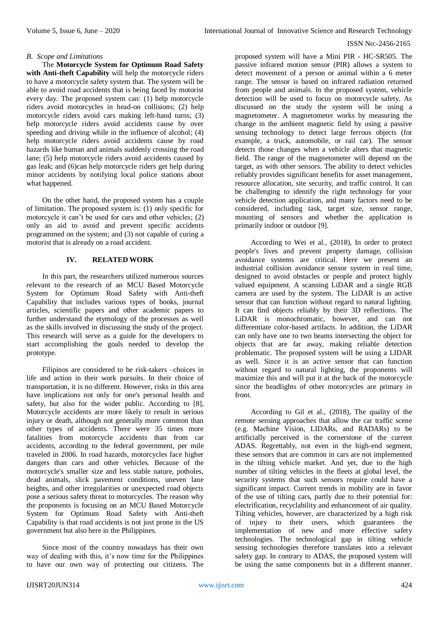### *B. Scope and Limitations*

The **Motorcycle System for Optimum Road Safety with Anti-theft Capability** will help the motorcycle riders to have a motorcycle safety system that. The system will be able to avoid road accidents that is being faced by motorist every day. The proposed system can: (1) help motorcycle riders avoid motorcycles in head-on collisions; (2) help motorcycle riders avoid cars making left-hand turns; (3) help motorcycle riders avoid accidents cause by over speeding and driving while in the influence of alcohol; (4) help motorcycle riders avoid accidents cause by road hazards like human and animals suddenly crossing the road lane; (5) help motorcycle riders avoid accidents caused by gas leak; and (6)can help motorcycle riders get help during minor accidents by notifying local police stations about what happened.

On the other hand, the proposed system has a couple of limitation. The proposed system is: (1) only specific for motorcycle it can't be used for cars and other vehicles; (2) only an aid to avoid and prevent specific accidents programmed on the system; and (3) not capable of curing a motorist that is already on a road accident.

# **IV. RELATED WORK**

In this part, the researchers utilized numerous sources relevant to the research of an MCU Based Motorcycle System for Optimum Road Safety with Anti-theft Capability that includes various types of books, journal articles, scientific papers and other academic papers to further understand the etymology of the processes as well as the skills involved in discussing the study of the project. This research will serve as a guide for the developers to start accomplishing the goals needed to develop the prototype.

Filipinos are considered to be risk-takers –choices in life and action in their work pursuits. In their choice of transportation, it is no different. However, risks in this area have implications not only for one's personal health and safety, but also for the wider public. According to [8], Motorcycle accidents are more likely to result in serious injury or death, although not generally more common than other types of accidents. There were 35 times more fatalities from motorcycle accidents than from car accidents, according to the federal government, per mile traveled in 2006. In road hazards, motorcycles face higher dangers than cars and other vehicles. Because of the motorcycle's smaller size and less stable nature, potholes, dead animals, slick pavement conditions, uneven lane heights, and other irregularities or unexpected road objects pose a serious safety threat to motorcycles. The reason why the proponents is focusing on an MCU Based Motorcycle System for Optimum Road Safety with Anti-theft Capability is that road accidents is not just prone in the US government but also here in the Philippines.

Since most of the country nowadays has their own way of dealing with this, it's now time for the Philippines to have our own way of protecting our citizens. The proposed system will have a Mini PIR - HC-SR505. The passive infrared motion sensor (PIR) allows a system to detect movement of a person or animal within a 6 meter range. The sensor is based on infrared radiation returned from people and animals. In the proposed system, vehicle detection will be used to focus on motorcycle safety. As discussed on the study the system will be using a magnetometer. A magnetometer works by measuring the change in the ambient magnetic field by using a passive sensing technology to detect large ferrous objects (for example, a truck, automobile, or rail car). The sensor detects those changes when a vehicle alters that magnetic field. The range of the magnetometer will depend on the target, as with other sensors. The ability to detect vehicles reliably provides significant benefits for asset management, resource allocation, site security, and traffic control. It can be challenging to identify the right technology for your vehicle detection application, and many factors need to be considered, including task, target size, sensor range, mounting of sensors and whether the application is primarily indoor or outdoor [9].

According to Wei et al., (2018), In order to protect people's lives and prevent property damage, collision avoidance systems are critical. Here we present an industrial collision avoidance sensor system in real time, designed to avoid obstacles or people and protect highly valued equipment. A scanning LiDAR and a single RGB camera are used by the system. The LiDAR is an active sensor that can function without regard to natural lighting. It can find objects reliably by their 3D reflections. The LiDAR is monochromatic, however, and can not differentiate color-based artifacts. In addition, the LiDAR can only have one to two beams intersecting the object for objects that are far away, making reliable detection problematic. The proposed system will be using a LIDAR as well. Since it is an active sensor that can function without regard to natural lighting, the proponents will maximize this and will put it at the back of the motorcycle since the headlights of other motorcycles are primary in front.

According to Gil et al., (2018), The quality of the remote sensing approaches that allow the car traffic scene (e.g. Machine Vision, LIDARs, and RADARs) to be artificially perceived is the cornerstone of the current ADAS. Regrettably, not even in the high-end segment, these sensors that are common in cars are not implemented in the tilting vehicle market. And yet, due to the high number of tilting vehicles in the fleets at global level, the security systems that such sensors require could have a significant impact. Current trends in mobility are in favor of the use of tilting cars, partly due to their potential for: electrification, recyclability and enhancement of air quality. Tilting vehicles, however, are characterized by a high risk of injury to their users, which guarantees the implementation of new and more effective safety technologies. The technological gap in tilting vehicle sensing technologies therefore translates into a relevant safety gap. In contrary to ADAS, the proposed system will be using the same components but in a different manner.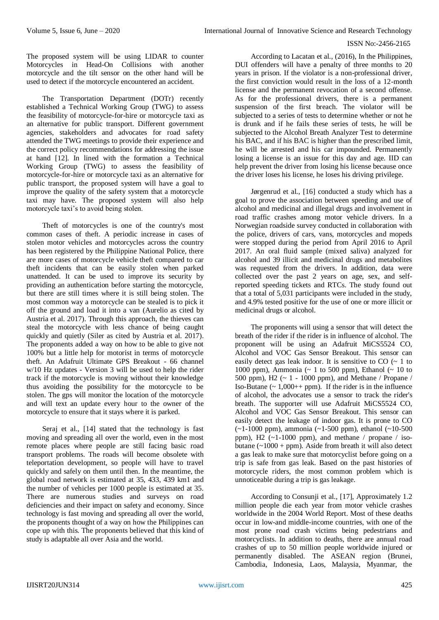The proposed system will be using LIDAR to counter Motorcycles in Head-On Collisions with another motorcycle and the tilt sensor on the other hand will be used to detect if the motorcycle encountered an accident.

The Transportation Department (DOTr) recently established a Technical Working Group (TWG) to assess the feasibility of motorcycle-for-hire or motorcycle taxi as an alternative for public transport. Different government agencies, stakeholders and advocates for road safety attended the TWG meetings to provide their experience and the correct policy recommendations for addressing the issue at hand [12]. In lined with the formation a Technical Working Group (TWG) to assess the feasibility of motorcycle-for-hire or motorcycle taxi as an alternative for public transport, the proposed system will have a goal to improve the quality of the safety system that a motorcycle taxi may have. The proposed system will also help motorcycle taxi's to avoid being stolen.

Theft of motorcycles is one of the country's most common cases of theft. A periodic increase in cases of stolen motor vehicles and motorcycles across the country has been registered by the Philippine National Police, there are more cases of motorcycle vehicle theft compared to car theft incidents that can be easily stolen when parked unattended. It can be used to improve its security by providing an authentication before starting the motorcycle, but there are still times where it is still being stolen. The most common way a motorcycle can be stealed is to pick it off the ground and load it into a van (Aurelio as cited by Austria et al. 2017). Through this approach, the thieves can steal the motorcycle with less chance of being caught quickly and quietly (Siler as cited by Austria et al. 2017). The proponents added a way on how to be able to give not 100% but a little help for motorist in terms of motorcycle theft. An Adafruit Ultimate GPS Breakout - 66 channel w/10 Hz updates - Version 3 will be used to help the rider track if the motorcycle is moving without their knowledge thus avoiding the possibility for the motorcycle to be stolen. The gps will monitor the location of the motorcycle and will text an update every hour to the owner of the motorcycle to ensure that it stays where it is parked.

Seraj et al., [14] stated that the technology is fast moving and spreading all over the world, even in the most remote places where people are still facing basic road transport problems. The roads will become obsolete with teleportation development, so people will have to travel quickly and safely on them until then. In the meantime, the global road network is estimated at 35, 433, 439 km1 and the number of vehicles per 1000 people is estimated at 35. There are numerous studies and surveys on road deficiencies and their impact on safety and economy. Since technology is fast moving and spreading all over the world, the proponents thought of a way on how the Philippines can cope up with this. The proponents believed that this kind of study is adaptable all over Asia and the world.

According to Lacatan et al., (2016), In the Philippines, DUI offenders will have a penalty of three months to 20 years in prison. If the violator is a non-professional driver, the first conviction would result in the loss of a 12-month license and the permanent revocation of a second offense. As for the professional drivers, there is a permanent suspension of the first breach. The violator will be subjected to a series of tests to determine whether or not he is drunk and if he fails these series of tests, he will be subjected to the Alcohol Breath Analyzer Test to determine his BAC, and if his BAC is higher than the prescribed limit, he will be arrested and his car impounded. Permanently losing a license is an issue for this day and age. IID can help prevent the driver from losing his license because once the driver loses his license, he loses his driving privilege.

Jørgenrud et al., [16] conducted a study which has a goal to prove the association between speeding and use of alcohol and medicinal and illegal drugs and involvement in road traffic crashes among motor vehicle drivers. In a Norwegian roadside survey conducted in collaboration with the police, drivers of cars, vans, motorcycles and mopeds were stopped during the period from April 2016 to April 2017. An oral fluid sample (mixed saliva) analyzed for alcohol and 39 illicit and medicinal drugs and metabolites was requested from the drivers. In addition, data were collected over the past 2 years on age, sex, and selfreported speeding tickets and RTCs. The study found out that a total of 5,031 participants were included in the study, and 4.9% tested positive for the use of one or more illicit or medicinal drugs or alcohol.

The proponents will using a sensor that will detect the breath of the rider if the rider is in influence of alcohol. The proponent will be using an Adafruit MiCS5524 CO, Alcohol and VOC Gas Sensor Breakout. This sensor can easily detect gas leak indoor. It is sensitive to  $CO \left( \sim 1 \text{ to} \right)$ 1000 ppm), Ammonia ( $\sim$  1 to 500 ppm), Ethanol ( $\sim$  10 to 500 ppm), H2 ( $\sim$  1 - 1000 ppm), and Methane / Propane / Iso-Butane  $($   $\sim$  1,000++ ppm). If the rider is in the influence of alcohol, the advocates use a sensor to track the rider's breath. The supporter will use Adafruit MiCS5524 CO, Alcohol and VOC Gas Sensor Breakout. This sensor can easily detect the leakage of indoor gas. It is prone to CO (~1-1000 ppm), ammonia (~1-500 ppm), ethanol (~10-500 ppm), H2  $(\sim 1-1000 \text{ ppm})$ , and methane / propane / isobutane  $(\sim 1000 + ppm)$ . Aside from breath it will also detect a gas leak to make sure that motorcyclist before going on a trip is safe from gas leak. Based on the past histories of motorcycle riders, the most common problem which is unnoticeable during a trip is gas leakage.

According to Consunji et al., [17], Approximately 1.2 million people die each year from motor vehicle crashes worldwide in the 2004 World Report. Most of these deaths occur in low-and middle-income countries, with one of the most prone road crash victims being pedestrians and motorcyclists. In addition to deaths, there are annual road crashes of up to 50 million people worldwide injured or permanently disabled. The ASEAN region (Brunei, Cambodia, Indonesia, Laos, Malaysia, Myanmar, the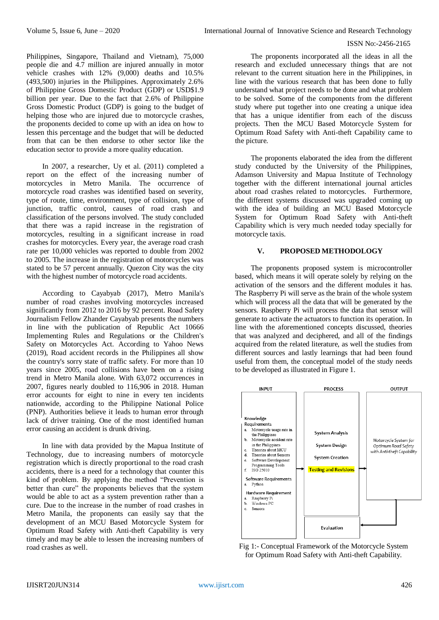Philippines, Singapore, Thailand and Vietnam), 75,000 people die and 4.7 million are injured annually in motor vehicle crashes with 12% (9,000) deaths and 10.5% (493,500) injuries in the Philippines. Approximately 2.6% of Philippine Gross Domestic Product (GDP) or USD\$1.9 billion per year. Due to the fact that 2.6% of Philippine Gross Domestic Product (GDP) is going to the budget of helping those who are injured due to motorcycle crashes, the proponents decided to come up with an idea on how to lessen this percentage and the budget that will be deducted from that can be then endorse to other sector like the education sector to provide a more quality education.

In 2007, a researcher, Uy et al. (2011) completed a report on the effect of the increasing number of motorcycles in Metro Manila. The occurrence of motorcycle road crashes was identified based on severity, type of route, time, environment, type of collision, type of junction, traffic control, causes of road crash and classification of the persons involved. The study concluded that there was a rapid increase in the registration of motorcycles, resulting in a significant increase in road crashes for motorcycles. Every year, the average road crash rate per 10,000 vehicles was reported to double from 2002 to 2005. The increase in the registration of motorcycles was stated to be 57 percent annually. Quezon City was the city with the highest number of motorcycle road accidents.

According to Cayabyab (2017), Metro Manila's number of road crashes involving motorcycles increased significantly from 2012 to 2016 by 92 percent. Road Safety Journalism Fellow Zhander Cayabyab presents the numbers in line with the publication of Republic Act 10666 Implementing Rules and Regulations or the Children's Safety on Motorcycles Act. According to Yahoo News (2019), Road accident records in the Philippines all show the country's sorry state of traffic safety. For more than 10 years since 2005, road collisions have been on a rising trend in Metro Manila alone. With 63,072 occurrences in 2007, figures nearly doubled to 116,906 in 2018. Human error accounts for eight to nine in every ten incidents nationwide, according to the Philippine National Police (PNP). Authorities believe it leads to human error through lack of driver training. One of the most identified human error causing an accident is drunk driving.

In line with data provided by the Mapua Institute of Technology, due to increasing numbers of motorcycle registration which is directly proportional to the road crash accidents, there is a need for a technology that counter this kind of problem. By applying the method "Prevention is better than cure" the proponents believes that the system would be able to act as a system prevention rather than a cure. Due to the increase in the number of road crashes in Metro Manila, the proponents can easily say that the development of an MCU Based Motorcycle System for Optimum Road Safety with Anti-theft Capability is very timely and may be able to lessen the increasing numbers of road crashes as well.

The proponents incorporated all the ideas in all the research and excluded unnecessary things that are not relevant to the current situation here in the Philippines, in line with the various research that has been done to fully understand what project needs to be done and what problem to be solved. Some of the components from the different study where put together into one creating a unique idea that has a unique identifier from each of the discuss projects. Then the MCU Based Motorcycle System for Optimum Road Safety with Anti-theft Capability came to the picture.

The proponents elaborated the idea from the different study conducted by the University of the Philippines, Adamson University and Mapua Institute of Technology together with the different international journal articles about road crashes related to motorcycles. Furthermore, the different systems discussed was upgraded coming up with the idea of building an MCU Based Motorcycle System for Optimum Road Safety with Anti-theft Capability which is very much needed today specially for motorcycle taxis.

# **V. PROPOSED METHODOLOGY**

The proponents proposed system is microcontroller based, which means it will operate solely by relying on the activation of the sensors and the different modules it has. The Raspberry Pi will serve as the brain of the whole system which will process all the data that will be generated by the sensors. Raspberry Pi will process the data that sensor will generate to activate the actuators to function its operation. In line with the aforementioned concepts discussed, theories that was analyzed and deciphered, and all of the findings acquired from the related literature, as well the studies from different sources and lastly learnings that had been found useful from them, the conceptual model of the study needs to be developed as illustrated in Figure 1.



Fig 1:- Conceptual Framework of the Motorcycle System for Optimum Road Safety with Anti-theft Capability.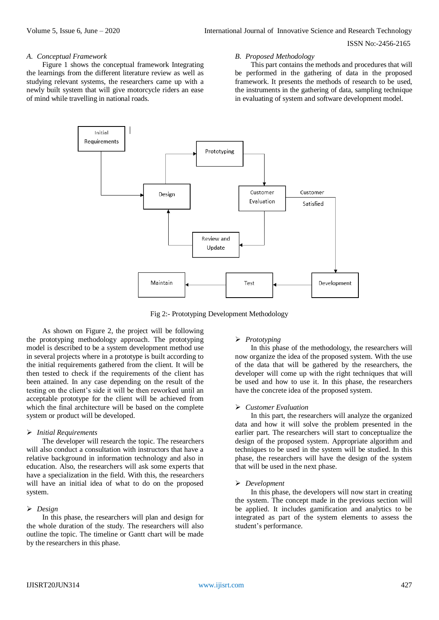#### *A. Conceptual Framework*

Figure 1 shows the conceptual framework Integrating the learnings from the different literature review as well as studying relevant systems, the researchers came up with a newly built system that will give motorcycle riders an ease of mind while travelling in national roads.

#### *B. Proposed Methodology*

This part contains the methods and procedures that will be performed in the gathering of data in the proposed framework. It presents the methods of research to be used, the instruments in the gathering of data, sampling technique in evaluating of system and software development model.



Fig 2:- Prototyping Development Methodology

As shown on Figure 2, the project will be following the prototyping methodology approach. The prototyping model is described to be a system development method use in several projects where in a prototype is built according to the initial requirements gathered from the client. It will be then tested to check if the requirements of the client has been attained. In any case depending on the result of the testing on the client's side it will be then reworked until an acceptable prototype for the client will be achieved from which the final architecture will be based on the complete system or product will be developed.

#### *Initial Requirements*

The developer will research the topic. The researchers will also conduct a consultation with instructors that have a relative background in information technology and also in education. Also, the researchers will ask some experts that have a specialization in the field. With this, the researchers will have an initial idea of what to do on the proposed system.

#### *Design*

In this phase, the researchers will plan and design for the whole duration of the study. The researchers will also outline the topic. The timeline or Gantt chart will be made by the researchers in this phase.

#### *Prototyping*

In this phase of the methodology, the researchers will now organize the idea of the proposed system. With the use of the data that will be gathered by the researchers, the developer will come up with the right techniques that will be used and how to use it. In this phase, the researchers have the concrete idea of the proposed system.

#### *Customer Evaluation*

In this part, the researchers will analyze the organized data and how it will solve the problem presented in the earlier part. The researchers will start to conceptualize the design of the proposed system. Appropriate algorithm and techniques to be used in the system will be studied. In this phase, the researchers will have the design of the system that will be used in the next phase.

#### *Development*

In this phase, the developers will now start in creating the system. The concept made in the previous section will be applied. It includes gamification and analytics to be integrated as part of the system elements to assess the student's performance.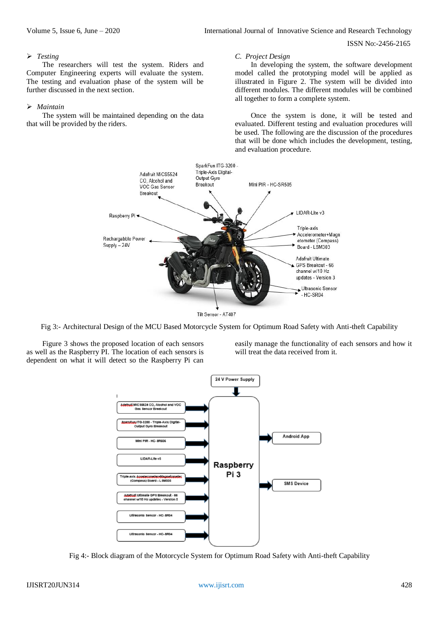# *Testing*

The researchers will test the system. Riders and Computer Engineering experts will evaluate the system. The testing and evaluation phase of the system will be further discussed in the next section.

## *Maintain*

The system will be maintained depending on the data that will be provided by the riders.

#### *C. Project Design*

In developing the system, the software development model called the prototyping model will be applied as illustrated in Figure 2. The system will be divided into different modules. The different modules will be combined all together to form a complete system.

Once the system is done, it will be tested and evaluated. Different testing and evaluation procedures will be used. The following are the discussion of the procedures that will be done which includes the development, testing, and evaluation procedure.



Tilt Sensor - AT407

Fig 3:- Architectural Design of the MCU Based Motorcycle System for Optimum Road Safety with Anti-theft Capability

Figure 3 shows the proposed location of each sensors as well as the Raspberry PI. The location of each sensors is dependent on what it will detect so the Raspberry Pi can

easily manage the functionality of each sensors and how it will treat the data received from it.



Fig 4:- Block diagram of the Motorcycle System for Optimum Road Safety with Anti-theft Capability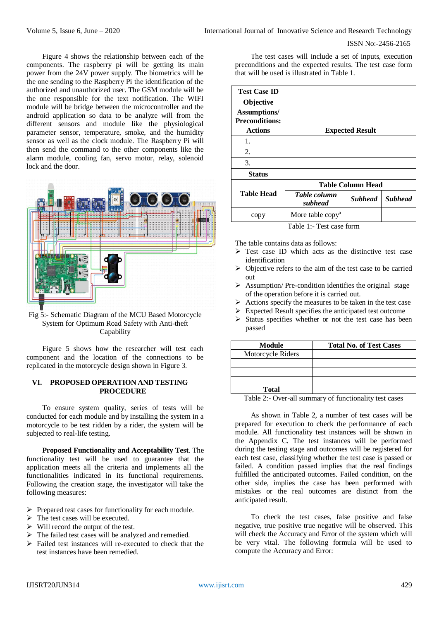Figure 4 shows the relationship between each of the components. The raspberry pi will be getting its main power from the 24V power supply. The biometrics will be the one sending to the Raspberry Pi the identification of the authorized and unauthorized user. The GSM module will be the one responsible for the text notification. The WIFI module will be bridge between the microcontroller and the android application so data to be analyze will from the different sensors and module like the physiological parameter sensor, temperature, smoke, and the humidity sensor as well as the clock module. The Raspberry Pi will then send the command to the other components like the alarm module, cooling fan, servo motor, relay, solenoid lock and the door.



# Fig 5:- Schematic Diagram of the MCU Based Motorcycle System for Optimum Road Safety with Anti-theft Capability

Figure 5 shows how the researcher will test each component and the location of the connections to be replicated in the motorcycle design shown in Figure 3.

# **VI. PROPOSED OPERATION AND TESTING PROCEDURE**

To ensure system quality, series of tests will be conducted for each module and by installing the system in a motorcycle to be test ridden by a rider, the system will be subjected to real-life testing.

**Proposed Functionality and Acceptability Test**. The functionality test will be used to guarantee that the application meets all the criteria and implements all the functionalities indicated in its functional requirements. Following the creation stage, the investigator will take the following measures:

- $\triangleright$  Prepared test cases for functionality for each module.
- $\triangleright$  The test cases will be executed.
- $\triangleright$  Will record the output of the test.
- $\triangleright$  The failed test cases will be analyzed and remedied.
- $\triangleright$  Failed test instances will re-executed to check that the test instances have been remedied.

The test cases will include a set of inputs, execution preconditions and the expected results. The test case form that will be used is illustrated in Table 1.

| <b>Test Case ID</b>                          |                              |                |                |
|----------------------------------------------|------------------------------|----------------|----------------|
| Objective                                    |                              |                |                |
| <b>Assumptions/</b><br><b>Preconditions:</b> |                              |                |                |
| <b>Actions</b>                               | <b>Expected Result</b>       |                |                |
| 1.                                           |                              |                |                |
| 2.                                           |                              |                |                |
| 3.                                           |                              |                |                |
| <b>Status</b>                                |                              |                |                |
|                                              | <b>Table Column Head</b>     |                |                |
| <b>Table Head</b>                            | Table column<br>subhead      | <b>Subhead</b> | <b>Subhead</b> |
| copy                                         | More table copy <sup>a</sup> |                |                |

Table 1:- Test case form

The table contains data as follows:

- $\triangleright$  Test case ID which acts as the distinctive test case identification
- Objective refers to the aim of the test case to be carried out
- $\triangleright$  Assumption/Pre-condition identifies the original stage of the operation before it is carried out.
- Actions specify the measures to be taken in the test case
- Expected Result specifies the anticipated test outcome
- $\triangleright$  Status specifies whether or not the test case has been passed

| <b>Module</b>     | <b>Total No. of Test Cases</b> |
|-------------------|--------------------------------|
| Motorcycle Riders |                                |
|                   |                                |
|                   |                                |
|                   |                                |
| <b>Total</b>      |                                |
|                   |                                |

Table 2:- Over-all summary of functionality test cases

As shown in Table 2, a number of test cases will be prepared for execution to check the performance of each module. All functionality test instances will be shown in the Appendix C. The test instances will be performed during the testing stage and outcomes will be registered for each test case, classifying whether the test case is passed or failed. A condition passed implies that the real findings fulfilled the anticipated outcomes. Failed condition, on the other side, implies the case has been performed with mistakes or the real outcomes are distinct from the anticipated result.

To check the test cases, false positive and false negative, true positive true negative will be observed. This will check the Accuracy and Error of the system which will be very vital. The following formula will be used to compute the Accuracy and Error: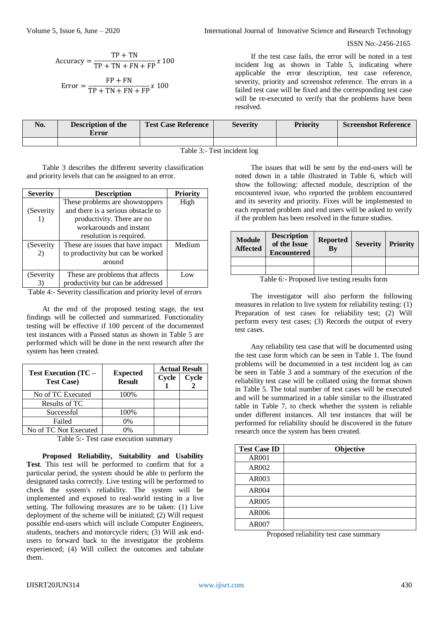Volume 5, Issue 6, June – 2020 **International Journal of Innovative Science and Research Technology** 

ISSN No:-2456-2165

$$
Accuracy = \frac{TP + TN}{TP + TN + FN + FP} x 100
$$

$$
Error = \frac{FP + FN}{TP + TN + FN + FP} x 100
$$

If the test case fails, the error will be noted in a test incident log as shown in Table 5, indicating where applicable the error description, test case reference, severity, priority and screenshot reference. The errors in a failed test case will be fixed and the corresponding test case will be re-executed to verify that the problems have been resolved.

| No.                                                                 | <b>Description of the</b><br><b>Error</b> | <b>Test Case Reference</b> | <b>Severity</b> | <b>Priority</b> | <b>Screenshot Reference</b> |
|---------------------------------------------------------------------|-------------------------------------------|----------------------------|-----------------|-----------------|-----------------------------|
|                                                                     |                                           |                            |                 |                 |                             |
| $\mathbf{m}$ is $\mathbf{a}$ . The $\mathbf{a}$ is the $\mathbf{a}$ |                                           |                            |                 |                 |                             |

Table 3:- Test incident log

Table 3 describes the different severity classification and priority levels that can be assigned to an error.

| <b>Severity</b> | <b>Description</b>                 | <b>Priority</b> |
|-----------------|------------------------------------|-----------------|
|                 | These problems are showstoppers    | High            |
| (Severity)      | and there is a serious obstacle to |                 |
|                 | productivity. There are no         |                 |
|                 | workarounds and instant            |                 |
|                 | resolution is required.            |                 |
| (Severity)      | These are issues that have impact  | Medium          |
| 2)              | to productivity but can be worked  |                 |
|                 | around                             |                 |
| (Severity)      | These are problems that affects    | Low             |
|                 | productivity but can be addressed  |                 |

Table 4:- Severity classification and priority level of errors

At the end of the proposed testing stage, the test findings will be collected and summarized. Functionality testing will be effective if 100 percent of the documented test instances with a Passed status as shown in Table 5 are performed which will be done in the next research after the system has been created.

|                                                  |                                  | <b>Actual Result</b> |       |
|--------------------------------------------------|----------------------------------|----------------------|-------|
| <b>Test Execution (TC -</b><br><b>Test Case)</b> | <b>Expected</b><br><b>Result</b> | Cycle                | Cycle |
| No of TC Executed                                | 100%                             |                      |       |
| Results of TC                                    |                                  |                      |       |
| Successful                                       | 100%                             |                      |       |
| Failed                                           | 0%                               |                      |       |
| No of TC Not Executed                            | 0%                               |                      |       |

Table 5:- Test case execution summary

**Proposed Reliability, Suitability and Usability Test**. This test will be performed to confirm that for a particular period, the system should be able to perform the designated tasks correctly. Live testing will be performed to check the system's reliability. The system will be implemented and exposed to real-world testing in a live setting. The following measures are to be taken: (1) Live deployment of the scheme will be initiated; (2) Will request possible end-users which will include Computer Engineers, students, teachers and motorcycle riders; (3) Will ask endusers to forward back to the investigator the problems experienced; (4) Will collect the outcomes and tabulate them.

The issues that will be sent by the end-users will be noted down in a table illustrated in Table 6, which will show the following: affected module, description of the encountered issue, who reported the problem encountered and its severity and priority. Fixes will be implemented to each reported problem and end users will be asked to verify if the problem has been resolved in the future studies.

| <b>Module</b><br><b>Affected</b> | <b>Description</b><br>of the Issue<br><b>Encountered</b> | <b>Reported</b><br>$\mathbf{B}\mathbf{y}$ | <b>Severity</b> | <b>Priority</b> |
|----------------------------------|----------------------------------------------------------|-------------------------------------------|-----------------|-----------------|
|                                  |                                                          |                                           |                 |                 |
|                                  |                                                          |                                           |                 |                 |

Table 6:- Proposed live testing results form

The investigator will also perform the following measures in relation to live system for reliability testing: (1) Preparation of test cases for reliability test; (2) Will perform every test cases; (3) Records the output of every test cases.

Any reliability test case that will be documented using the test case form which can be seen in Table 1. The found problems will be documented in a test incident log as can be seen in Table 3 and a summary of the execution of the reliability test case will be collated using the format shown in Table 5. The total number of test cases will be executed and will be summarized in a table similar to the illustrated table in Table 7, to check whether the system is reliable under different instances. All test instances that will be performed for reliability should be discovered in the future research once the system has been created.

| <b>Test Case ID</b> | Objective |
|---------------------|-----------|
| AR001               |           |
| AR002               |           |
| AR003               |           |
| <b>AR004</b>        |           |
| AR005               |           |
| AR006               |           |
| AR007               |           |

Proposed reliability test case summary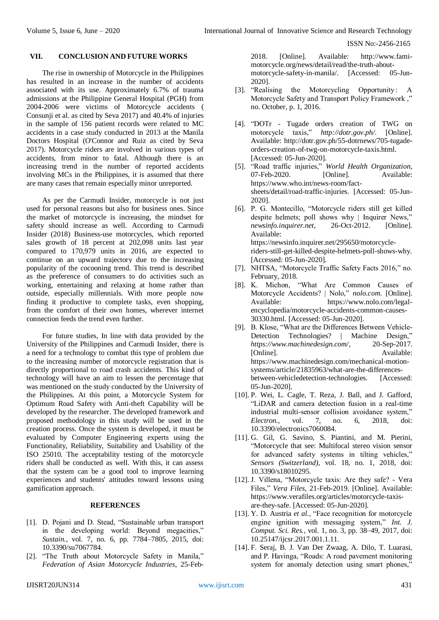## **VII. CONCLUSION AND FUTURE WORKS**

The rise in ownership of Motorcycle in the Philippines has resulted in an increase in the number of accidents associated with its use. Approximately 6.7% of trauma admissions at the Philippine General Hospital (PGH) from 2004-2006 were victims of Motorcycle accidents ( Consunji et al. as cited by Seva 2017) and 40.4% of injuries in the sample of 156 patient records were related to MC accidents in a case study conducted in 2013 at the Manila Doctors Hospital (O'Connor and Ruiz as cited by Seva 2017). Motorcycle riders are involved in various types of accidents, from minor to fatal. Although there is an increasing trend in the number of reported accidents involving MCs in the Philippines, it is assumed that there are many cases that remain especially minor unreported.

As per the Carmudi Insider, motorcycle is not just used for personal reasons but also for business ones. Since the market of motorcycle is increasing, the mindset for safety should increase as well. According to Carmudi Insider (2018) Business-use motorcycles, which reported sales growth of 18 percent at 202,098 units last year compared to 170,979 units in 2016, are expected to continue on an upward trajectory due to the increasing popularity of the cocooning trend. This trend is described as the preference of consumers to do activities such as working, entertaining and relaxing at home rather than outside, especially millennials. With more people now finding it productive to complete tasks, even shopping, from the comfort of their own homes, wherever internet connection feeds the trend even further.

For future studies, In line with data provided by the University of the Philippines and Carmudi Insider, there is a need for a technology to combat this type of problem due to the increasing number of motorcycle registration that is directly proportional to road crash accidents. This kind of technology will have an aim to lessen the percentage that was mentioned on the study conducted by the University of the Philippines. At this point, a Motorcycle System for Optimum Road Safety with Anti-theft Capability will be developed by the researcher. The developed framework and proposed methodology in this study will be used in the creation process. Once the system is developed, it must be evaluated by Computer Engineering experts using the Functionality, Reliability, Suitability and Usability of the ISO 25010. The acceptability testing of the motorcycle riders shall be conducted as well. With this, it can assess that the system can be a good tool to improve learning experiences and students' attitudes toward lessons using gamification approach.

## **REFERENCES**

- [1]. D. Pojani and D. Stead, "Sustainable urban transport in the developing world: Beyond megacities," *Sustain.*, vol. 7, no. 6, pp. 7784–7805, 2015, doi: 10.3390/su7067784.
- [2]. "The Truth about Motorcycle Safety in Manila," *Federation of Asian Motorcycle Industries*, 25-Feb-

2018. [Online]. Available: http://www.famimotorcycle.org/news/detail/read/the-truth-aboutmotorcycle-safety-in-manila/. [Accessed: 05-Jun-2020].

- [3]. "Realising the Motorcycling Opportunity: A Motorcycle Safety and Transport Policy Framework ," no. October, p. 1, 2016.
- [4]. "DOTr Tugade orders creation of TWG on motorcycle taxis," *http://dotr.gov.ph/*. [Online]. Available: http://dotr.gov.ph/55-dotrnews/705-tugadeorders-creation-of-twg-on-motorcycle-taxis.html. [Accessed: 05-Jun-2020].
- [5]. "Road traffic injuries," *World Health Organization*, 07-Feb-2020. [Online]. Available: https://www.who.int/news-room/factsheets/detail/road-traffic-injuries. [Accessed: 05-Jun-2020].
- [6]. P. G. Montecillo, "Motorcycle riders still get killed despite helmets; poll shows why | Inquirer News," *newsinfo.inquirer.net*, 26-Oct-2012. [Online]. Available: https://newsinfo.inquirer.net/295650/motorcycleriders-still-get-killed-despite-helmets-poll-shows-why. [Accessed: 05-Jun-2020].
- [7]. NHTSA, "Motorcycle Traffic Safety Facts 2016," no. February, 2018.
- [8]. K. Michon, "What Are Common Causes of Motorcycle Accidents? | Nolo," *nolo.com*. [Online]. Available: https://www.nolo.com/legalencyclopedia/motorcycle-accidents-common-causes-30330.html. [Accessed: 05-Jun-2020].
- [9]. B. Klose, "What are the Differences Between Vehicle-Detection Technologies? | Machine Design," *https://www.machinedesign.com/*, 20-Sep-2017. [Online]. Available: https://www.machinedesign.com/mechanical-motionsystems/article/21835963/what-are-the-differencesbetween-vehicledetection-technologies. [Accessed: 05-Jun-2020].
- [10]. P. Wei, L. Cagle, T. Reza, J. Ball, and J. Gafford, "LiDAR and camera detection fusion in a real-time industrial multi-sensor collision avoidance system," *Electron.*, vol. 7, no. 6, 2018, doi: 10.3390/electronics7060084.
- [11]. G. Gil, G. Savino, S. Piantini, and M. Pierini, "Motorcycle that see: Multifocal stereo vision sensor for advanced safety systems in tilting vehicles," *Sensors (Switzerland)*, vol. 18, no. 1, 2018, doi: 10.3390/s18010295.
- [12]. J. Villena, "Motorcycle taxis: Are they safe? Vera Files," *Vera Files*, 21-Feb-2019. [Online]. Available: https://www.verafiles.org/articles/motorcycle-taxisare-they-safe. [Accessed: 05-Jun-2020].
- [13]. Y. D. Austria *et al.*, "Face recognition for motorcycle engine ignition with messaging system," *Int. J. Comput. Sci. Res.*, vol. 1, no. 3, pp. 38–49, 2017, doi: 10.25147/ijcsr.2017.001.1.11.
- [14]. F. Seraj, B. J. Van Der Zwaag, A. Dilo, T. Luarasi, and P. Havinga, "Roads: A road pavement monitoring system for anomaly detection using smart phones,"